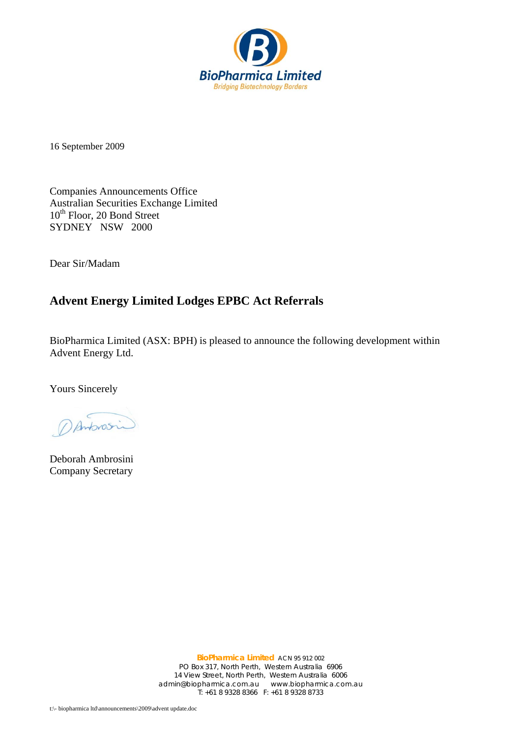

16 September 2009

Companies Announcements Office Australian Securities Exchange Limited 10<sup>th</sup> Floor, 20 Bond Street SYDNEY NSW 2000

Dear Sir/Madam

## **Advent Energy Limited Lodges EPBC Act Referrals**

BioPharmica Limited (ASX: BPH) is pleased to announce the following development within Advent Energy Ltd.

Yours Sincerely

DAnbrosin

Deborah Ambrosini Company Secretary

**BioPharmica Limited** ACN 95 912 002 PO Box 317, North Perth, Western Australia 6906 14 View Street, North Perth, Western Australia 6006 admin@biopharmica.com.au www.biopharmica.com.au T: +61 8 9328 8366 F: +61 8 9328 8733